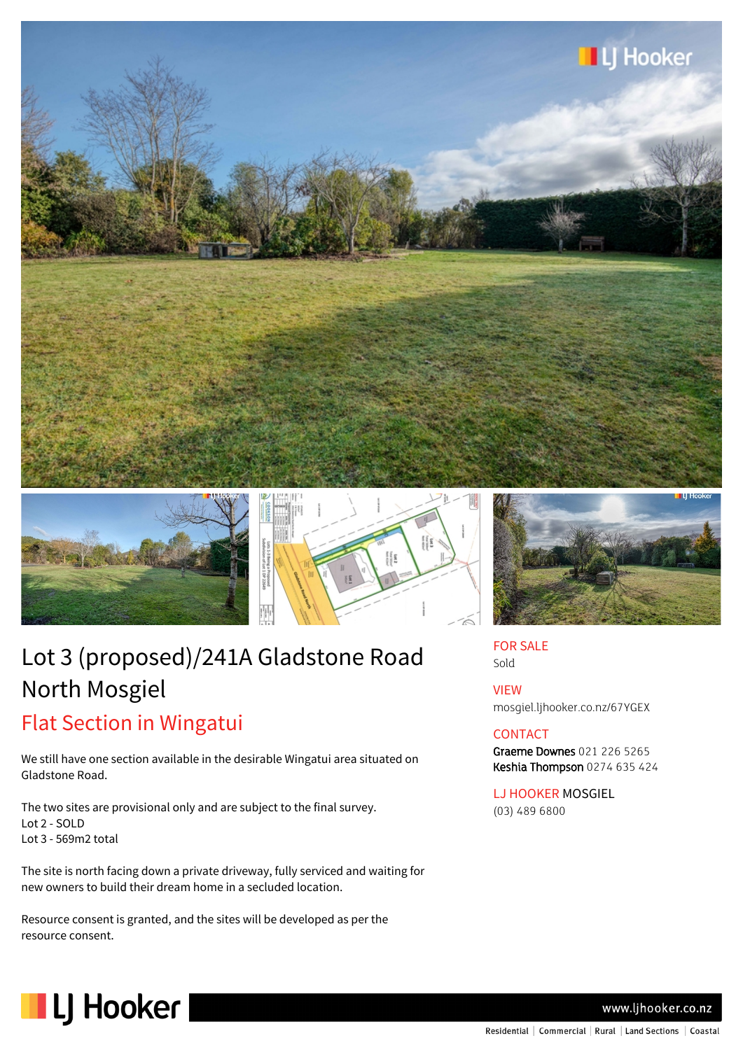





# Lot 3 (proposed)/241A Gladstone Road North Mosgiel Flat Section in Wingatui

We still have one section available in the desirable Wingatui area situated on Gladstone Road.

The two sites are provisional only and are subject to the final survey. Lot 2 - SOLD Lot 3 - 569m2 total

The site is north facing down a private driveway, fully serviced and waiting for new owners to build their dream home in a secluded location.

Resource consent is granted, and the sites will be developed as per the resource consent.



FOR SALE Sold

VIEW mosgiel.ljhooker.co.nz/67YGEX

### **CONTACT**

Graeme Downes 021 226 5265 Keshia Thompson 0274 635 424

LJ HOOKER MOSGIEL (03) 489 6800



www.ljhooker.co.nz